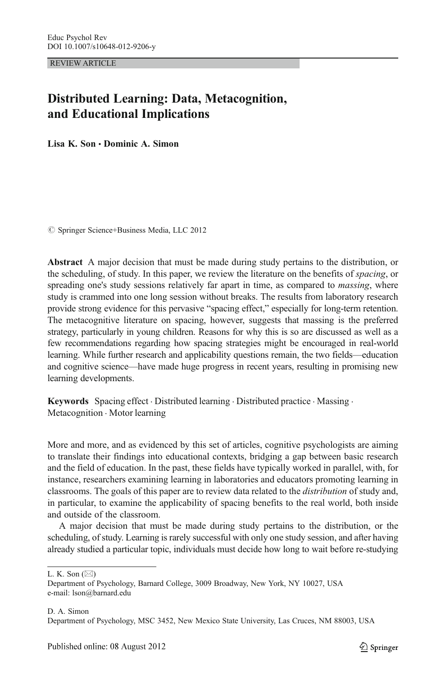REVIEW ARTICLE

# Distributed Learning: Data, Metacognition, and Educational Implications

Lisa K. Son · Dominic A. Simon

 $\circ$  Springer Science+Business Media, LLC 2012

Abstract A major decision that must be made during study pertains to the distribution, or the scheduling, of study. In this paper, we review the literature on the benefits of *spacing*, or spreading one's study sessions relatively far apart in time, as compared to *massing*, where study is crammed into one long session without breaks. The results from laboratory research provide strong evidence for this pervasive "spacing effect," especially for long-term retention. The metacognitive literature on spacing, however, suggests that massing is the preferred strategy, particularly in young children. Reasons for why this is so are discussed as well as a few recommendations regarding how spacing strategies might be encouraged in real-world learning. While further research and applicability questions remain, the two fields—education and cognitive science—have made huge progress in recent years, resulting in promising new learning developments.

Keywords Spacing effect . Distributed learning . Distributed practice . Massing . Metacognition . Motor learning

More and more, and as evidenced by this set of articles, cognitive psychologists are aiming to translate their findings into educational contexts, bridging a gap between basic research and the field of education. In the past, these fields have typically worked in parallel, with, for instance, researchers examining learning in laboratories and educators promoting learning in classrooms. The goals of this paper are to review data related to the distribution of study and, in particular, to examine the applicability of spacing benefits to the real world, both inside and outside of the classroom.

A major decision that must be made during study pertains to the distribution, or the scheduling, of study. Learning is rarely successful with only one study session, and after having already studied a particular topic, individuals must decide how long to wait before re-studying

L. K. Son  $(\boxtimes)$ 

Department of Psychology, Barnard College, 3009 Broadway, New York, NY 10027, USA e-mail: lson@barnard.edu

D. A. Simon Department of Psychology, MSC 3452, New Mexico State University, Las Cruces, NM 88003, USA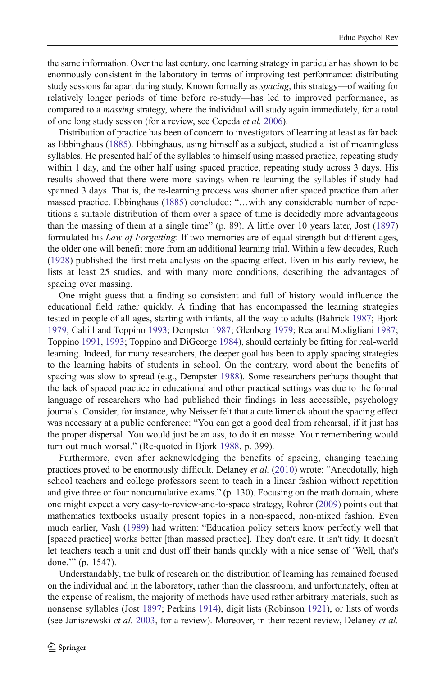the same information. Over the last century, one learning strategy in particular has shown to be enormously consistent in the laboratory in terms of improving test performance: distributing study sessions far apart during study. Known formally as spacing, this strategy-of waiting for relatively longer periods of time before re-study—has led to improved performance, as compared to a *massing* strategy, where the individual will study again immediately, for a total of one long study session (for a review, see Cepeda et al. [2006\)](#page-17-0).

Distribution of practice has been of concern to investigators of learning at least as far back as Ebbinghaus [\(1885](#page-17-0)). Ebbinghaus, using himself as a subject, studied a list of meaningless syllables. He presented half of the syllables to himself using massed practice, repeating study within 1 day, and the other half using spaced practice, repeating study across 3 days. His results showed that there were more savings when re-learning the syllables if study had spanned 3 days. That is, the re-learning process was shorter after spaced practice than after massed practice. Ebbinghaus [\(1885](#page-17-0)) concluded: "…with any considerable number of repetitions a suitable distribution of them over a space of time is decidedly more advantageous than the massing of them at a single time" (p. 89). A little over 10 years later, Jost ([1897\)](#page-18-0) formulated his *Law of Forgetting*: If two memories are of equal strength but different ages, the older one will benefit more from an additional learning trial. Within a few decades, Ruch ([1928\)](#page-19-0) published the first meta-analysis on the spacing effect. Even in his early review, he lists at least 25 studies, and with many more conditions, describing the advantages of spacing over massing.

One might guess that a finding so consistent and full of history would influence the educational field rather quickly. A finding that has encompassed the learning strategies tested in people of all ages, starting with infants, all the way to adults (Bahrick [1987](#page-16-0); Bjork [1979;](#page-16-0) Cahill and Toppino [1993;](#page-16-0) Dempster [1987;](#page-17-0) Glenberg [1979;](#page-17-0) Rea and Modigliani [1987](#page-19-0); Toppino [1991](#page-20-0), [1993;](#page-20-0) Toppino and DiGeorge [1984\)](#page-20-0), should certainly be fitting for real-world learning. Indeed, for many researchers, the deeper goal has been to apply spacing strategies to the learning habits of students in school. On the contrary, word about the benefits of spacing was slow to spread (e.g., Dempster [1988](#page-17-0)). Some researchers perhaps thought that the lack of spaced practice in educational and other practical settings was due to the formal language of researchers who had published their findings in less accessible, psychology journals. Consider, for instance, why Neisser felt that a cute limerick about the spacing effect was necessary at a public conference: "You can get a good deal from rehearsal, if it just has the proper dispersal. You would just be an ass, to do it en masse. Your remembering would turn out much worsal." (Re-quoted in Bjork [1988,](#page-16-0) p. 399).

Furthermore, even after acknowledging the benefits of spacing, changing teaching practices proved to be enormously difficult. Delaney et al. [\(2010\)](#page-17-0) wrote: "Anecdotally, high school teachers and college professors seem to teach in a linear fashion without repetition and give three or four noncumulative exams." (p. 130). Focusing on the math domain, where one might expect a very easy-to-review-and-to-space strategy, Rohrer [\(2009](#page-19-0)) points out that mathematics textbooks usually present topics in a non-spaced, non-mixed fashion. Even much earlier, Vash ([1989\)](#page-20-0) had written: "Education policy setters know perfectly well that [spaced practice] works better [than massed practice]. They don't care. It isn't tidy. It doesn't let teachers teach a unit and dust off their hands quickly with a nice sense of 'Well, that's done.'" (p. 1547).

Understandably, the bulk of research on the distribution of learning has remained focused on the individual and in the laboratory, rather than the classroom, and unfortunately, often at the expense of realism, the majority of methods have used rather arbitrary materials, such as nonsense syllables (Jost [1897](#page-18-0); Perkins [1914\)](#page-19-0), digit lists (Robinson [1921](#page-19-0)), or lists of words (see Janiszewski et al. [2003,](#page-18-0) for a review). Moreover, in their recent review, Delaney et al.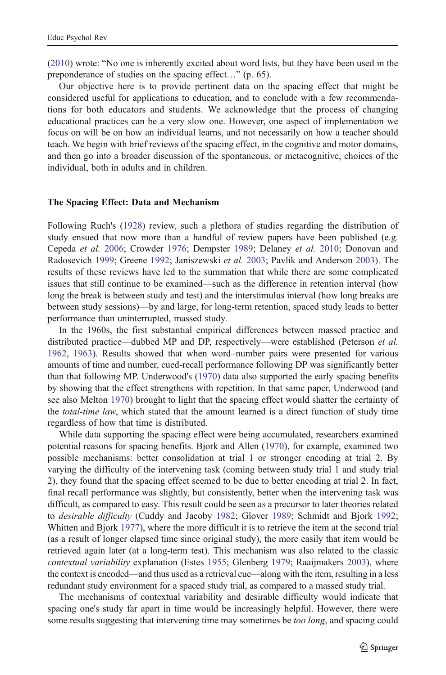([2010\)](#page-17-0) wrote: "No one is inherently excited about word lists, but they have been used in the preponderance of studies on the spacing effect…" (p. 65).

Our objective here is to provide pertinent data on the spacing effect that might be considered useful for applications to education, and to conclude with a few recommendations for both educators and students. We acknowledge that the process of changing educational practices can be a very slow one. However, one aspect of implementation we focus on will be on how an individual learns, and not necessarily on how a teacher should teach. We begin with brief reviews of the spacing effect, in the cognitive and motor domains, and then go into a broader discussion of the spontaneous, or metacognitive, choices of the individual, both in adults and in children.

### The Spacing Effect: Data and Mechanism

Following Ruch's [\(1928](#page-19-0)) review, such a plethora of studies regarding the distribution of study ensued that now more than a handful of review papers have been published (e.g. Cepeda et al. [2006;](#page-17-0) Crowder [1976;](#page-17-0) Dempster [1989;](#page-17-0) Delaney et al. [2010](#page-17-0); Donovan and Radosevich [1999;](#page-17-0) Greene [1992](#page-18-0); Janiszewski et al. [2003;](#page-18-0) Pavlik and Anderson [2003\)](#page-19-0). The results of these reviews have led to the summation that while there are some complicated issues that still continue to be examined—such as the difference in retention interval (how long the break is between study and test) and the interstimulus interval (how long breaks are between study sessions)—by and large, for long-term retention, spaced study leads to better performance than uninterrupted, massed study.

In the 1960s, the first substantial empirical differences between massed practice and distributed practice—dubbed MP and DP, respectively—were established (Peterson et al. [1962,](#page-19-0) [1963](#page-19-0)). Results showed that when word–number pairs were presented for various amounts of time and number, cued-recall performance following DP was significantly better than that following MP. Underwood's [\(1970](#page-20-0)) data also supported the early spacing benefits by showing that the effect strengthens with repetition. In that same paper, Underwood (and see also Melton [1970\)](#page-18-0) brought to light that the spacing effect would shatter the certainty of the total-time law, which stated that the amount learned is a direct function of study time regardless of how that time is distributed.

While data supporting the spacing effect were being accumulated, researchers examined potential reasons for spacing benefits. Bjork and Allen [\(1970](#page-16-0)), for example, examined two possible mechanisms: better consolidation at trial 1 or stronger encoding at trial 2. By varying the difficulty of the intervening task (coming between study trial 1 and study trial 2), they found that the spacing effect seemed to be due to better encoding at trial 2. In fact, final recall performance was slightly, but consistently, better when the intervening task was difficult, as compared to easy. This result could be seen as a precursor to later theories related to desirable difficulty (Cuddy and Jacoby [1982;](#page-17-0) Glover [1989](#page-17-0); Schmidt and Bjork [1992](#page-19-0); Whitten and Bjork [1977\)](#page-20-0), where the more difficult it is to retrieve the item at the second trial (as a result of longer elapsed time since original study), the more easily that item would be retrieved again later (at a long-term test). This mechanism was also related to the classic contextual variability explanation (Estes [1955](#page-17-0); Glenberg [1979](#page-17-0); Raaijmakers [2003](#page-19-0)), where the context is encoded—and thus used as a retrieval cue—along with the item, resulting in a less redundant study environment for a spaced study trial, as compared to a massed study trial.

The mechanisms of contextual variability and desirable difficulty would indicate that spacing one's study far apart in time would be increasingly helpful. However, there were some results suggesting that intervening time may sometimes be *too long*, and spacing could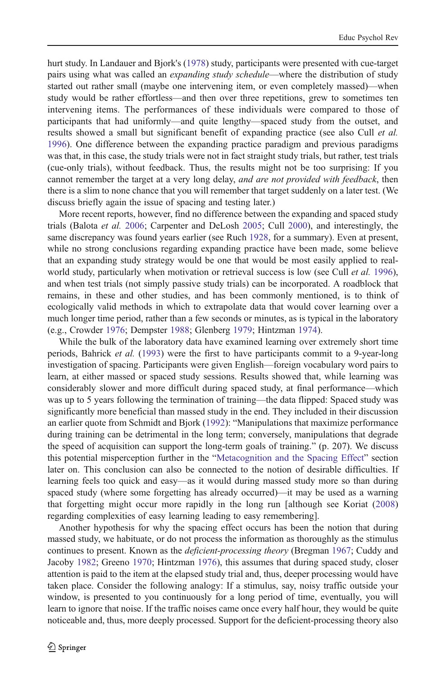hurt study. In Landauer and Bjork's ([1978\)](#page-18-0) study, participants were presented with cue-target pairs using what was called an *expanding study schedule*—where the distribution of study started out rather small (maybe one intervening item, or even completely massed)—when study would be rather effortless—and then over three repetitions, grew to sometimes ten intervening items. The performances of these individuals were compared to those of participants that had uniformly—and quite lengthy—spaced study from the outset, and results showed a small but significant benefit of expanding practice (see also Cull *et al.*) [1996\)](#page-17-0). One difference between the expanding practice paradigm and previous paradigms was that, in this case, the study trials were not in fact straight study trials, but rather, test trials (cue-only trials), without feedback. Thus, the results might not be too surprising: If you cannot remember the target at a very long delay, and are not provided with feedback, then there is a slim to none chance that you will remember that target suddenly on a later test. (We discuss briefly again the issue of spacing and testing later.)

More recent reports, however, find no difference between the expanding and spaced study trials (Balota et al. [2006](#page-16-0); Carpenter and DeLosh [2005](#page-16-0); Cull [2000\)](#page-17-0), and interestingly, the same discrepancy was found years earlier (see Ruch [1928,](#page-19-0) for a summary). Even at present, while no strong conclusions regarding expanding practice have been made, some believe that an expanding study strategy would be one that would be most easily applied to real-world study, particularly when motivation or retrieval success is low (see Cull et al. [1996](#page-17-0)), and when test trials (not simply passive study trials) can be incorporated. A roadblock that remains, in these and other studies, and has been commonly mentioned, is to think of ecologically valid methods in which to extrapolate data that would cover learning over a much longer time period, rather than a few seconds or minutes, as is typical in the laboratory (e.g., Crowder [1976](#page-17-0); Dempster [1988;](#page-17-0) Glenberg [1979;](#page-17-0) Hintzman [1974\)](#page-18-0).

While the bulk of the laboratory data have examined learning over extremely short time periods, Bahrick et al. ([1993\)](#page-16-0) were the first to have participants commit to a 9-year-long investigation of spacing. Participants were given English—foreign vocabulary word pairs to learn, at either massed or spaced study sessions. Results showed that, while learning was considerably slower and more difficult during spaced study, at final performance—which was up to 5 years following the termination of training—the data flipped: Spaced study was significantly more beneficial than massed study in the end. They included in their discussion an earlier quote from Schmidt and Bjork ([1992\)](#page-19-0): "Manipulations that maximize performance during training can be detrimental in the long term; conversely, manipulations that degrade the speed of acquisition can support the long-term goals of training." (p. 207). We discuss this potential misperception further in the "[Metacognition and the Spacing Effect](#page-9-0)" section later on. This conclusion can also be connected to the notion of desirable difficulties. If learning feels too quick and easy—as it would during massed study more so than during spaced study (where some forgetting has already occurred)—it may be used as a warning that forgetting might occur more rapidly in the long run [although see Koriat [\(2008\)](#page-18-0) regarding complexities of easy learning leading to easy remembering].

Another hypothesis for why the spacing effect occurs has been the notion that during massed study, we habituate, or do not process the information as thoroughly as the stimulus continues to present. Known as the *deficient-processing theory* (Bregman [1967;](#page-16-0) Cuddy and Jacoby [1982;](#page-17-0) Greeno [1970;](#page-18-0) Hintzman [1976\)](#page-18-0), this assumes that during spaced study, closer attention is paid to the item at the elapsed study trial and, thus, deeper processing would have taken place. Consider the following analogy: If a stimulus, say, noisy traffic outside your window, is presented to you continuously for a long period of time, eventually, you will learn to ignore that noise. If the traffic noises came once every half hour, they would be quite noticeable and, thus, more deeply processed. Support for the deficient-processing theory also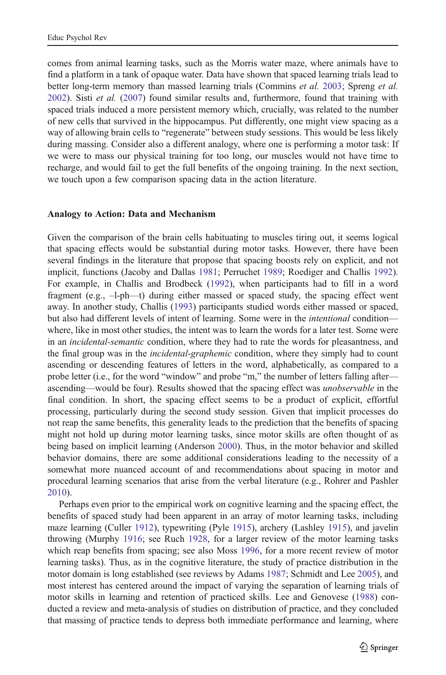comes from animal learning tasks, such as the Morris water maze, where animals have to find a platform in a tank of opaque water. Data have shown that spaced learning trials lead to better long-term memory than massed learning trials (Commins et al. [2003](#page-17-0); Spreng et al. [2002\)](#page-20-0). Sisti et al. [\(2007](#page-20-0)) found similar results and, furthermore, found that training with spaced trials induced a more persistent memory which, crucially, was related to the number of new cells that survived in the hippocampus. Put differently, one might view spacing as a way of allowing brain cells to "regenerate" between study sessions. This would be less likely during massing. Consider also a different analogy, where one is performing a motor task: If we were to mass our physical training for too long, our muscles would not have time to recharge, and would fail to get the full benefits of the ongoing training. In the next section, we touch upon a few comparison spacing data in the action literature.

## Analogy to Action: Data and Mechanism

Given the comparison of the brain cells habituating to muscles tiring out, it seems logical that spacing effects would be substantial during motor tasks. However, there have been several findings in the literature that propose that spacing boosts rely on explicit, and not implicit, functions (Jacoby and Dallas [1981;](#page-18-0) Perruchet [1989](#page-19-0); Roediger and Challis [1992](#page-19-0)). For example, in Challis and Brodbeck [\(1992](#page-17-0)), when participants had to fill in a word fragment (e.g., –l-ph—t) during either massed or spaced study, the spacing effect went away. In another study, Challis [\(1993](#page-17-0)) participants studied words either massed or spaced, but also had different levels of intent of learning. Some were in the *intentional* condition where, like in most other studies, the intent was to learn the words for a later test. Some were in an incidental-semantic condition, where they had to rate the words for pleasantness, and the final group was in the *incidental-graphemic* condition, where they simply had to count ascending or descending features of letters in the word, alphabetically, as compared to a probe letter (i.e., for the word "window" and probe "m," the number of letters falling after ascending—would be four). Results showed that the spacing effect was *unobservable* in the final condition. In short, the spacing effect seems to be a product of explicit, effortful processing, particularly during the second study session. Given that implicit processes do not reap the same benefits, this generality leads to the prediction that the benefits of spacing might not hold up during motor learning tasks, since motor skills are often thought of as being based on implicit learning (Anderson [2000\)](#page-16-0). Thus, in the motor behavior and skilled behavior domains, there are some additional considerations leading to the necessity of a somewhat more nuanced account of and recommendations about spacing in motor and procedural learning scenarios that arise from the verbal literature (e.g., Rohrer and Pashler [2010\)](#page-19-0).

Perhaps even prior to the empirical work on cognitive learning and the spacing effect, the benefits of spaced study had been apparent in an array of motor learning tasks, including maze learning (Culler [1912\)](#page-17-0), typewriting (Pyle [1915\)](#page-19-0), archery (Lashley [1915](#page-18-0)), and javelin throwing (Murphy [1916](#page-19-0); see Ruch [1928](#page-19-0), for a larger review of the motor learning tasks which reap benefits from spacing; see also Moss [1996,](#page-18-0) for a more recent review of motor learning tasks). Thus, as in the cognitive literature, the study of practice distribution in the motor domain is long established (see reviews by Adams [1987;](#page-16-0) Schmidt and Lee [2005](#page-19-0)), and most interest has centered around the impact of varying the separation of learning trials of motor skills in learning and retention of practiced skills. Lee and Genovese [\(1988](#page-18-0)) conducted a review and meta-analysis of studies on distribution of practice, and they concluded that massing of practice tends to depress both immediate performance and learning, where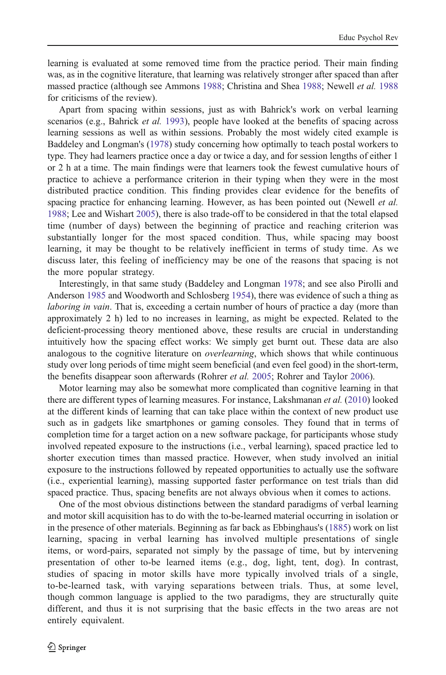learning is evaluated at some removed time from the practice period. Their main finding was, as in the cognitive literature, that learning was relatively stronger after spaced than after massed practice (although see Ammons [1988;](#page-16-0) Christina and Shea [1988;](#page-17-0) Newell et al. [1988](#page-19-0) for criticisms of the review).

Apart from spacing within sessions, just as with Bahrick's work on verbal learning scenarios (e.g., Bahrick *et al.* [1993\)](#page-16-0), people have looked at the benefits of spacing across learning sessions as well as within sessions. Probably the most widely cited example is Baddeley and Longman's ([1978\)](#page-16-0) study concerning how optimally to teach postal workers to type. They had learners practice once a day or twice a day, and for session lengths of either 1 or 2 h at a time. The main findings were that learners took the fewest cumulative hours of practice to achieve a performance criterion in their typing when they were in the most distributed practice condition. This finding provides clear evidence for the benefits of spacing practice for enhancing learning. However, as has been pointed out (Newell *et al.*) [1988;](#page-19-0) Lee and Wishart [2005](#page-18-0)), there is also trade-off to be considered in that the total elapsed time (number of days) between the beginning of practice and reaching criterion was substantially longer for the most spaced condition. Thus, while spacing may boost learning, it may be thought to be relatively inefficient in terms of study time. As we discuss later, this feeling of inefficiency may be one of the reasons that spacing is not the more popular strategy.

Interestingly, in that same study (Baddeley and Longman [1978](#page-16-0); and see also Pirolli and Anderson [1985](#page-19-0) and Woodworth and Schlosberg [1954](#page-20-0)), there was evidence of such a thing as laboring in vain. That is, exceeding a certain number of hours of practice a day (more than approximately 2 h) led to no increases in learning, as might be expected. Related to the deficient-processing theory mentioned above, these results are crucial in understanding intuitively how the spacing effect works: We simply get burnt out. These data are also analogous to the cognitive literature on *overlearning*, which shows that while continuous study over long periods of time might seem beneficial (and even feel good) in the short-term, the benefits disappear soon afterwards (Rohrer *et al.* [2005;](#page-19-0) Rohrer and Taylor [2006](#page-19-0)).

Motor learning may also be somewhat more complicated than cognitive learning in that there are different types of learning measures. For instance, Lakshmanan *et al.* ([2010\)](#page-18-0) looked at the different kinds of learning that can take place within the context of new product use such as in gadgets like smartphones or gaming consoles. They found that in terms of completion time for a target action on a new software package, for participants whose study involved repeated exposure to the instructions (i.e., verbal learning), spaced practice led to shorter execution times than massed practice. However, when study involved an initial exposure to the instructions followed by repeated opportunities to actually use the software (i.e., experiential learning), massing supported faster performance on test trials than did spaced practice. Thus, spacing benefits are not always obvious when it comes to actions.

One of the most obvious distinctions between the standard paradigms of verbal learning and motor skill acquisition has to do with the to-be-learned material occurring in isolation or in the presence of other materials. Beginning as far back as Ebbinghaus's ([1885\)](#page-17-0) work on list learning, spacing in verbal learning has involved multiple presentations of single items, or word-pairs, separated not simply by the passage of time, but by intervening presentation of other to-be learned items (e.g., dog, light, tent, dog). In contrast, studies of spacing in motor skills have more typically involved trials of a single, to-be-learned task, with varying separations between trials. Thus, at some level, though common language is applied to the two paradigms, they are structurally quite different, and thus it is not surprising that the basic effects in the two areas are not entirely equivalent.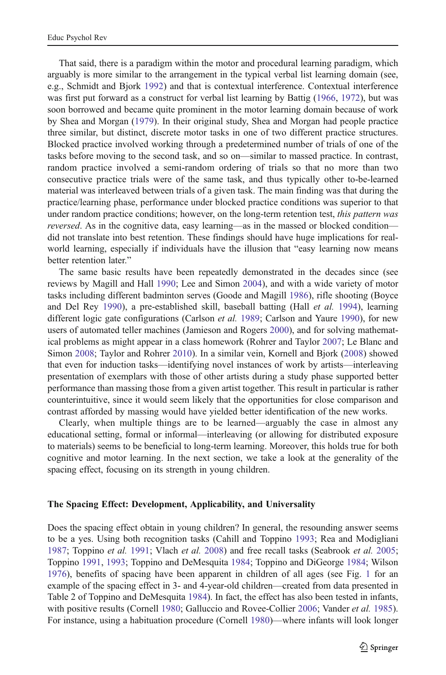That said, there is a paradigm within the motor and procedural learning paradigm, which arguably is more similar to the arrangement in the typical verbal list learning domain (see, e.g., Schmidt and Bjork [1992](#page-19-0)) and that is contextual interference. Contextual interference was first put forward as a construct for verbal list learning by Battig ([1966,](#page-16-0) [1972\)](#page-16-0), but was soon borrowed and became quite prominent in the motor learning domain because of work by Shea and Morgan ([1979\)](#page-19-0). In their original study, Shea and Morgan had people practice three similar, but distinct, discrete motor tasks in one of two different practice structures. Blocked practice involved working through a predetermined number of trials of one of the tasks before moving to the second task, and so on—similar to massed practice. In contrast, random practice involved a semi-random ordering of trials so that no more than two consecutive practice trials were of the same task, and thus typically other to-be-learned material was interleaved between trials of a given task. The main finding was that during the practice/learning phase, performance under blocked practice conditions was superior to that under random practice conditions; however, on the long-term retention test, this pattern was reversed. As in the cognitive data, easy learning—as in the massed or blocked condition did not translate into best retention. These findings should have huge implications for realworld learning, especially if individuals have the illusion that "easy learning now means better retention later."

The same basic results have been repeatedly demonstrated in the decades since (see reviews by Magill and Hall [1990](#page-18-0); Lee and Simon [2004](#page-18-0)), and with a wide variety of motor tasks including different badminton serves (Goode and Magill [1986](#page-18-0)), rifle shooting (Boyce and Del Rey [1990](#page-16-0)), a pre-established skill, baseball batting (Hall et al. [1994](#page-18-0)), learning different logic gate configurations (Carlson *et al.* [1989](#page-16-0); Carlson and Yaure [1990\)](#page-16-0), for new users of automated teller machines (Jamieson and Rogers [2000\)](#page-18-0), and for solving mathematical problems as might appear in a class homework (Rohrer and Taylor [2007;](#page-19-0) Le Blanc and Simon [2008;](#page-18-0) Taylor and Rohrer [2010](#page-20-0)). In a similar vein, Kornell and Bjork [\(2008](#page-18-0)) showed that even for induction tasks—identifying novel instances of work by artists—interleaving presentation of exemplars with those of other artists during a study phase supported better performance than massing those from a given artist together. This result in particular is rather counterintuitive, since it would seem likely that the opportunities for close comparison and contrast afforded by massing would have yielded better identification of the new works.

Clearly, when multiple things are to be learned—arguably the case in almost any educational setting, formal or informal—interleaving (or allowing for distributed exposure to materials) seems to be beneficial to long-term learning. Moreover, this holds true for both cognitive and motor learning. In the next section, we take a look at the generality of the spacing effect, focusing on its strength in young children.

## The Spacing Effect: Development, Applicability, and Universality

Does the spacing effect obtain in young children? In general, the resounding answer seems to be a yes. Using both recognition tasks (Cahill and Toppino [1993;](#page-16-0) Rea and Modigliani [1987;](#page-19-0) Toppino et al. [1991;](#page-20-0) Vlach et al. [2008](#page-20-0)) and free recall tasks (Seabrook et al. [2005](#page-19-0); Toppino [1991,](#page-20-0) [1993;](#page-20-0) Toppino and DeMesquita [1984;](#page-20-0) Toppino and DiGeorge [1984;](#page-20-0) Wilson [1976\)](#page-20-0), benefits of spacing have been apparent in children of all ages (see Fig. [1](#page-7-0) for an example of the spacing effect in 3- and 4-year-old children—created from data presented in Table 2 of Toppino and DeMesquita [1984](#page-20-0)). In fact, the effect has also been tested in infants, with positive results (Cornell [1980;](#page-17-0) Galluccio and Rovee-Collier [2006;](#page-17-0) Vander et al. [1985](#page-20-0)). For instance, using a habituation procedure (Cornell [1980\)](#page-17-0)—where infants will look longer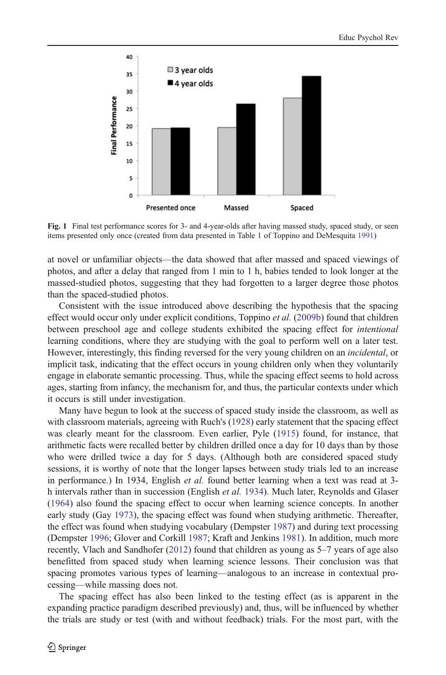<span id="page-7-0"></span>

Fig. 1 Final test performance scores for 3- and 4-year-olds after having massed study, spaced study, or seen items presented only once (created from data presented in Table 1 of Toppino and DeMesquita [1991\)](#page-20-0)

at novel or unfamiliar objects—the data showed that after massed and spaced viewings of photos, and after a delay that ranged from 1 min to 1 h, babies tended to look longer at the massed-studied photos, suggesting that they had forgotten to a larger degree those photos than the spaced-studied photos.

Consistent with the issue introduced above describing the hypothesis that the spacing effect would occur only under explicit conditions, Toppino et al. ([2009b](#page-20-0)) found that children between preschool age and college students exhibited the spacing effect for *intentional* learning conditions, where they are studying with the goal to perform well on a later test. However, interestingly, this finding reversed for the very young children on an *incidental*, or implicit task, indicating that the effect occurs in young children only when they voluntarily engage in elaborate semantic processing. Thus, while the spacing effect seems to hold across ages, starting from infancy, the mechanism for, and thus, the particular contexts under which it occurs is still under investigation.

Many have begun to look at the success of spaced study inside the classroom, as well as with classroom materials, agreeing with Ruch's [\(1928\)](#page-19-0) early statement that the spacing effect was clearly meant for the classroom. Even earlier, Pyle ([1915\)](#page-19-0) found, for instance, that arithmetic facts were recalled better by children drilled once a day for 10 days than by those who were drilled twice a day for 5 days. (Although both are considered spaced study sessions, it is worthy of note that the longer lapses between study trials led to an increase in performance.) In 1934, English *et al.* found better learning when a text was read at 3h intervals rather than in succession (English et al. [1934\)](#page-17-0). Much later, Reynolds and Glaser ([1964\)](#page-19-0) also found the spacing effect to occur when learning science concepts. In another early study (Gay [1973\)](#page-17-0), the spacing effect was found when studying arithmetic. Thereafter, the effect was found when studying vocabulary (Dempster [1987\)](#page-17-0) and during text processing (Dempster [1996](#page-17-0); Glover and Corkill [1987](#page-17-0); Kraft and Jenkins [1981\)](#page-18-0). In addition, much more recently, Vlach and Sandhofer ([2012](#page-20-0)) found that children as young as 5–7 years of age also benefitted from spaced study when learning science lessons. Their conclusion was that spacing promotes various types of learning—analogous to an increase in contextual processing—while massing does not.

The spacing effect has also been linked to the testing effect (as is apparent in the expanding practice paradigm described previously) and, thus, will be influenced by whether the trials are study or test (with and without feedback) trials. For the most part, with the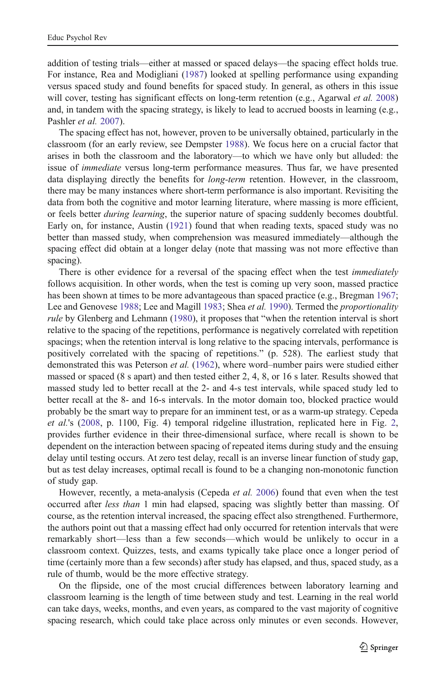addition of testing trials—either at massed or spaced delays—the spacing effect holds true. For instance, Rea and Modigliani [\(1987](#page-19-0)) looked at spelling performance using expanding versus spaced study and found benefits for spaced study. In general, as others in this issue will cover, testing has significant effects on long-term retention (e.g., Agarwal et al. [2008\)](#page-16-0) and, in tandem with the spacing strategy, is likely to lead to accrued boosts in learning (e.g., Pashler et al. [2007\)](#page-19-0).

The spacing effect has not, however, proven to be universally obtained, particularly in the classroom (for an early review, see Dempster [1988\)](#page-17-0). We focus here on a crucial factor that arises in both the classroom and the laboratory—to which we have only but alluded: the issue of immediate versus long-term performance measures. Thus far, we have presented data displaying directly the benefits for *long-term* retention. However, in the classroom, there may be many instances where short-term performance is also important. Revisiting the data from both the cognitive and motor learning literature, where massing is more efficient, or feels better *during learning*, the superior nature of spacing suddenly becomes doubtful. Early on, for instance, Austin ([1921\)](#page-16-0) found that when reading texts, spaced study was no better than massed study, when comprehension was measured immediately—although the spacing effect did obtain at a longer delay (note that massing was not more effective than spacing).

There is other evidence for a reversal of the spacing effect when the test *immediately* follows acquisition. In other words, when the test is coming up very soon, massed practice has been shown at times to be more advantageous than spaced practice (e.g., Bregman [1967](#page-16-0); Lee and Genovese [1988;](#page-18-0) Lee and Magill [1983](#page-18-0); Shea et al. [1990\)](#page-19-0). Termed the *proportionality* rule by Glenberg and Lehmann ([1980\)](#page-17-0), it proposes that "when the retention interval is short relative to the spacing of the repetitions, performance is negatively correlated with repetition spacings; when the retention interval is long relative to the spacing intervals, performance is positively correlated with the spacing of repetitions." (p. 528). The earliest study that demonstrated this was Peterson *et al.* ([1962](#page-19-0)), where word–number pairs were studied either massed or spaced (8 s apart) and then tested either 2, 4, 8, or 16 s later. Results showed that massed study led to better recall at the 2- and 4-s test intervals, while spaced study led to better recall at the 8- and 16-s intervals. In the motor domain too, blocked practice would probably be the smart way to prepare for an imminent test, or as a warm-up strategy. Cepeda  $et$  al.'s  $(2008, p. 1100, Fig. 4)$  $(2008, p. 1100, Fig. 4)$  $(2008, p. 1100, Fig. 4)$  temporal ridgeline illustration, replicated here in Fig. [2](#page-9-0), provides further evidence in their three-dimensional surface, where recall is shown to be dependent on the interaction between spacing of repeated items during study and the ensuing delay until testing occurs. At zero test delay, recall is an inverse linear function of study gap, but as test delay increases, optimal recall is found to be a changing non-monotonic function of study gap.

However, recently, a meta-analysis (Cepeda et al. [2006](#page-17-0)) found that even when the test occurred after less than 1 min had elapsed, spacing was slightly better than massing. Of course, as the retention interval increased, the spacing effect also strengthened. Furthermore, the authors point out that a massing effect had only occurred for retention intervals that were remarkably short—less than a few seconds—which would be unlikely to occur in a classroom context. Quizzes, tests, and exams typically take place once a longer period of time (certainly more than a few seconds) after study has elapsed, and thus, spaced study, as a rule of thumb, would be the more effective strategy.

On the flipside, one of the most crucial differences between laboratory learning and classroom learning is the length of time between study and test. Learning in the real world can take days, weeks, months, and even years, as compared to the vast majority of cognitive spacing research, which could take place across only minutes or even seconds. However,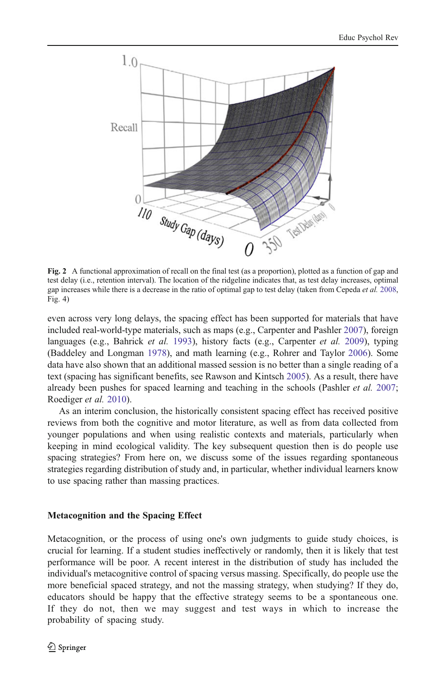<span id="page-9-0"></span>

Fig. 2 A functional approximation of recall on the final test (as a proportion), plotted as a function of gap and test delay (i.e., retention interval). The location of the ridgeline indicates that, as test delay increases, optimal gap increases while there is a decrease in the ratio of optimal gap to test delay (taken from Cepeda et al. [2008,](#page-17-0) Fig. 4)

even across very long delays, the spacing effect has been supported for materials that have included real-world-type materials, such as maps (e.g., Carpenter and Pashler [2007\)](#page-16-0), foreign languages (e.g., Bahrick et al. [1993](#page-16-0)), history facts (e.g., Carpenter et al. [2009\)](#page-17-0), typing (Baddeley and Longman [1978](#page-16-0)), and math learning (e.g., Rohrer and Taylor [2006](#page-19-0)). Some data have also shown that an additional massed session is no better than a single reading of a text (spacing has significant benefits, see Rawson and Kintsch [2005](#page-19-0)). As a result, there have already been pushes for spaced learning and teaching in the schools (Pashler et al. [2007](#page-19-0); Roediger et al. [2010\)](#page-19-0).

As an interim conclusion, the historically consistent spacing effect has received positive reviews from both the cognitive and motor literature, as well as from data collected from younger populations and when using realistic contexts and materials, particularly when keeping in mind ecological validity. The key subsequent question then is do people use spacing strategies? From here on, we discuss some of the issues regarding spontaneous strategies regarding distribution of study and, in particular, whether individual learners know to use spacing rather than massing practices.

## Metacognition and the Spacing Effect

Metacognition, or the process of using one's own judgments to guide study choices, is crucial for learning. If a student studies ineffectively or randomly, then it is likely that test performance will be poor. A recent interest in the distribution of study has included the individual's metacognitive control of spacing versus massing. Specifically, do people use the more beneficial spaced strategy, and not the massing strategy, when studying? If they do, educators should be happy that the effective strategy seems to be a spontaneous one. If they do not, then we may suggest and test ways in which to increase the probability of spacing study.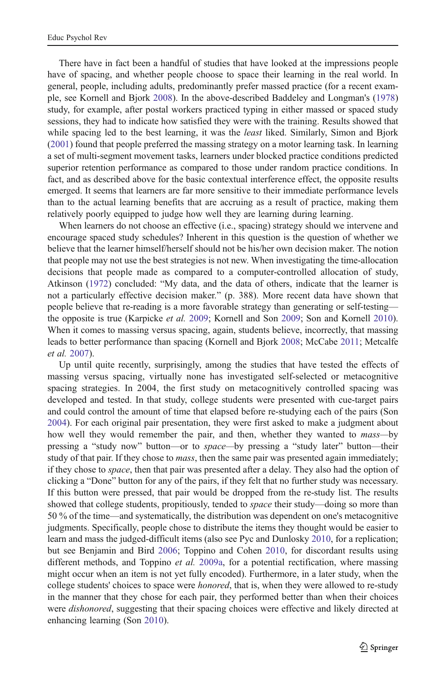There have in fact been a handful of studies that have looked at the impressions people have of spacing, and whether people choose to space their learning in the real world. In general, people, including adults, predominantly prefer massed practice (for a recent example, see Kornell and Bjork [2008](#page-18-0)). In the above-described Baddeley and Longman's ([1978\)](#page-16-0) study, for example, after postal workers practiced typing in either massed or spaced study sessions, they had to indicate how satisfied they were with the training. Results showed that while spacing led to the best learning, it was the *least* liked. Similarly, Simon and Bjork ([2001\)](#page-20-0) found that people preferred the massing strategy on a motor learning task. In learning a set of multi-segment movement tasks, learners under blocked practice conditions predicted superior retention performance as compared to those under random practice conditions. In fact, and as described above for the basic contextual interference effect, the opposite results emerged. It seems that learners are far more sensitive to their immediate performance levels than to the actual learning benefits that are accruing as a result of practice, making them relatively poorly equipped to judge how well they are learning during learning.

When learners do not choose an effective (i.e., spacing) strategy should we intervene and encourage spaced study schedules? Inherent in this question is the question of whether we believe that the learner himself/herself should not be his/her own decision maker. The notion that people may not use the best strategies is not new. When investigating the time-allocation decisions that people made as compared to a computer-controlled allocation of study, Atkinson ([1972\)](#page-16-0) concluded: "My data, and the data of others, indicate that the learner is not a particularly effective decision maker." (p. 388). More recent data have shown that people believe that re-reading is a more favorable strategy than generating or self-testing the opposite is true (Karpicke et al. [2009](#page-18-0); Kornell and Son [2009](#page-18-0); Son and Kornell [2010](#page-20-0)). When it comes to massing versus spacing, again, students believe, incorrectly, that massing leads to better performance than spacing (Kornell and Bjork [2008;](#page-18-0) McCabe [2011](#page-18-0); Metcalfe et al. [2007\)](#page-18-0).

Up until quite recently, surprisingly, among the studies that have tested the effects of massing versus spacing, virtually none has investigated self-selected or metacognitive spacing strategies. In 2004, the first study on metacognitively controlled spacing was developed and tested. In that study, college students were presented with cue-target pairs and could control the amount of time that elapsed before re-studying each of the pairs (Son [2004\)](#page-20-0). For each original pair presentation, they were first asked to make a judgment about how well they would remember the pair, and then, whether they wanted to *mass*—by pressing a "study now" button—or to space—by pressing a "study later" button—their study of that pair. If they chose to *mass*, then the same pair was presented again immediately; if they chose to space, then that pair was presented after a delay. They also had the option of clicking a "Done" button for any of the pairs, if they felt that no further study was necessary. If this button were pressed, that pair would be dropped from the re-study list. The results showed that college students, propitiously, tended to *space* their study—doing so more than 50 % of the time—and systematically, the distribution was dependent on one's metacognitive judgments. Specifically, people chose to distribute the items they thought would be easier to learn and mass the judged-difficult items (also see Pyc and Dunlosky [2010](#page-19-0), for a replication; but see Benjamin and Bird [2006;](#page-16-0) Toppino and Cohen [2010,](#page-20-0) for discordant results using different methods, and Toppino et al. [2009a](#page-20-0), for a potential rectification, where massing might occur when an item is not yet fully encoded). Furthermore, in a later study, when the college students' choices to space were *honored*, that is, when they were allowed to re-study in the manner that they chose for each pair, they performed better than when their choices were *dishonored*, suggesting that their spacing choices were effective and likely directed at enhancing learning (Son [2010](#page-20-0)).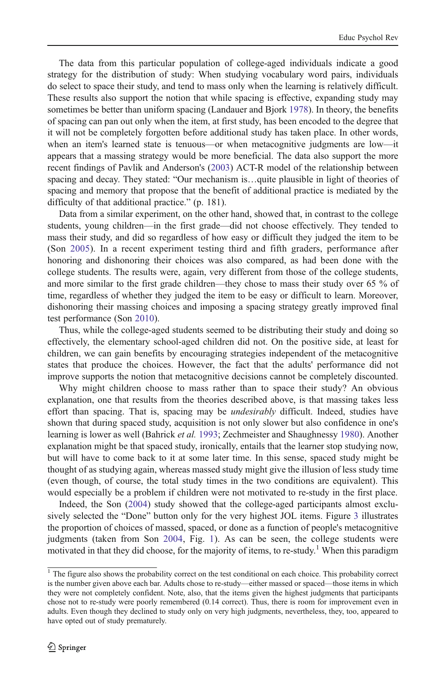The data from this particular population of college-aged individuals indicate a good strategy for the distribution of study: When studying vocabulary word pairs, individuals do select to space their study, and tend to mass only when the learning is relatively difficult. These results also support the notion that while spacing is effective, expanding study may sometimes be better than uniform spacing (Landauer and Bjork [1978\)](#page-18-0). In theory, the benefits of spacing can pan out only when the item, at first study, has been encoded to the degree that it will not be completely forgotten before additional study has taken place. In other words, when an item's learned state is tenuous—or when metacognitive judgments are low—it appears that a massing strategy would be more beneficial. The data also support the more recent findings of Pavlik and Anderson's ([2003\)](#page-19-0) ACT-R model of the relationship between spacing and decay. They stated: "Our mechanism is…quite plausible in light of theories of spacing and memory that propose that the benefit of additional practice is mediated by the difficulty of that additional practice." (p. 181).

Data from a similar experiment, on the other hand, showed that, in contrast to the college students, young children—in the first grade—did not choose effectively. They tended to mass their study, and did so regardless of how easy or difficult they judged the item to be (Son [2005\)](#page-20-0). In a recent experiment testing third and fifth graders, performance after honoring and dishonoring their choices was also compared, as had been done with the college students. The results were, again, very different from those of the college students, and more similar to the first grade children—they chose to mass their study over 65 % of time, regardless of whether they judged the item to be easy or difficult to learn. Moreover, dishonoring their massing choices and imposing a spacing strategy greatly improved final test performance (Son [2010](#page-20-0)).

Thus, while the college-aged students seemed to be distributing their study and doing so effectively, the elementary school-aged children did not. On the positive side, at least for children, we can gain benefits by encouraging strategies independent of the metacognitive states that produce the choices. However, the fact that the adults' performance did not improve supports the notion that metacognitive decisions cannot be completely discounted.

Why might children choose to mass rather than to space their study? An obvious explanation, one that results from the theories described above, is that massing takes less effort than spacing. That is, spacing may be *undesirably* difficult. Indeed, studies have shown that during spaced study, acquisition is not only slower but also confidence in one's learning is lower as well (Bahrick et al. [1993;](#page-16-0) Zechmeister and Shaughnessy [1980](#page-20-0)). Another explanation might be that spaced study, ironically, entails that the learner stop studying now, but will have to come back to it at some later time. In this sense, spaced study might be thought of as studying again, whereas massed study might give the illusion of less study time (even though, of course, the total study times in the two conditions are equivalent). This would especially be a problem if children were not motivated to re-study in the first place.

Indeed, the Son [\(2004](#page-20-0)) study showed that the college-aged participants almost exclusively selected the "Done" button only for the very highest JOL items. Figure [3](#page-12-0) illustrates the proportion of choices of massed, spaced, or done as a function of people's metacognitive judgments (taken from Son [2004](#page-20-0), Fig. [1](#page-7-0)). As can be seen, the college students were motivated in that they did choose, for the majority of items, to re-study.<sup>1</sup> When this paradigm

<sup>&</sup>lt;sup>1</sup> The figure also shows the probability correct on the test conditional on each choice. This probability correct is the number given above each bar. Adults chose to re-study—either massed or spaced—those items in which they were not completely confident. Note, also, that the items given the highest judgments that participants chose not to re-study were poorly remembered (0.14 correct). Thus, there is room for improvement even in adults. Even though they declined to study only on very high judgments, nevertheless, they, too, appeared to have opted out of study prematurely.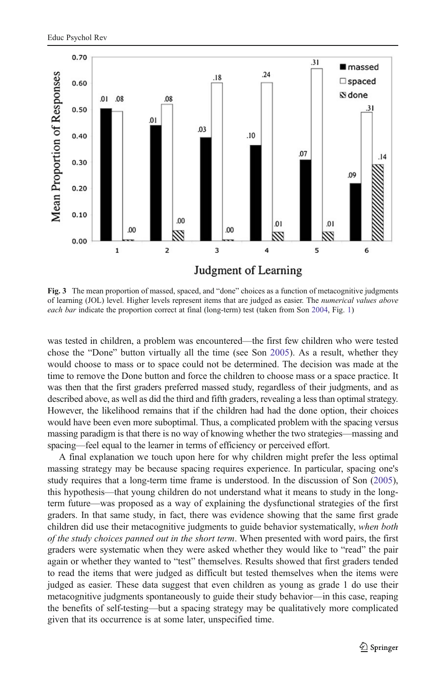<span id="page-12-0"></span>

Fig. 3 The mean proportion of massed, spaced, and "done" choices as a function of metacognitive judgments of learning (JOL) level. Higher levels represent items that are judged as easier. The numerical values above each bar indicate the proportion correct at final (long-term) test (taken from Son [2004](#page-20-0), Fig. [1](#page-7-0))

was tested in children, a problem was encountered—the first few children who were tested chose the "Done" button virtually all the time (see Son [2005](#page-20-0)). As a result, whether they would choose to mass or to space could not be determined. The decision was made at the time to remove the Done button and force the children to choose mass or a space practice. It was then that the first graders preferred massed study, regardless of their judgments, and as described above, as well as did the third and fifth graders, revealing a less than optimal strategy. However, the likelihood remains that if the children had had the done option, their choices would have been even more suboptimal. Thus, a complicated problem with the spacing versus massing paradigm is that there is no way of knowing whether the two strategies—massing and spacing—feel equal to the learner in terms of efficiency or perceived effort.

A final explanation we touch upon here for why children might prefer the less optimal massing strategy may be because spacing requires experience. In particular, spacing one's study requires that a long-term time frame is understood. In the discussion of Son [\(2005](#page-20-0)), this hypothesis—that young children do not understand what it means to study in the longterm future—was proposed as a way of explaining the dysfunctional strategies of the first graders. In that same study, in fact, there was evidence showing that the same first grade children did use their metacognitive judgments to guide behavior systematically, when both of the study choices panned out in the short term. When presented with word pairs, the first graders were systematic when they were asked whether they would like to "read" the pair again or whether they wanted to "test" themselves. Results showed that first graders tended to read the items that were judged as difficult but tested themselves when the items were judged as easier. These data suggest that even children as young as grade 1 do use their metacognitive judgments spontaneously to guide their study behavior—in this case, reaping the benefits of self-testing—but a spacing strategy may be qualitatively more complicated given that its occurrence is at some later, unspecified time.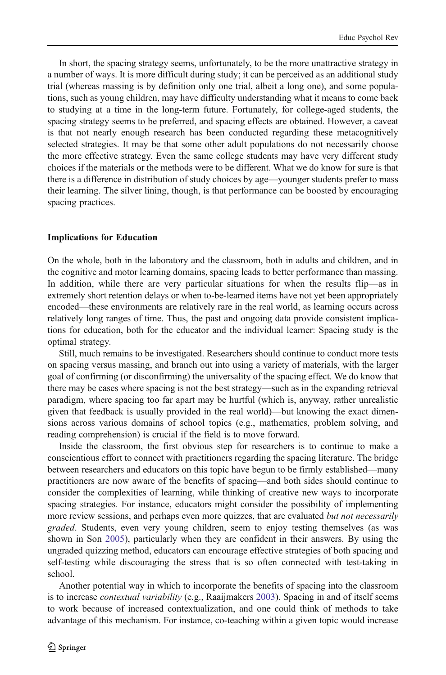In short, the spacing strategy seems, unfortunately, to be the more unattractive strategy in a number of ways. It is more difficult during study; it can be perceived as an additional study trial (whereas massing is by definition only one trial, albeit a long one), and some populations, such as young children, may have difficulty understanding what it means to come back to studying at a time in the long-term future. Fortunately, for college-aged students, the spacing strategy seems to be preferred, and spacing effects are obtained. However, a caveat is that not nearly enough research has been conducted regarding these metacognitively selected strategies. It may be that some other adult populations do not necessarily choose the more effective strategy. Even the same college students may have very different study choices if the materials or the methods were to be different. What we do know for sure is that there is a difference in distribution of study choices by age—younger students prefer to mass their learning. The silver lining, though, is that performance can be boosted by encouraging spacing practices.

## Implications for Education

On the whole, both in the laboratory and the classroom, both in adults and children, and in the cognitive and motor learning domains, spacing leads to better performance than massing. In addition, while there are very particular situations for when the results flip—as in extremely short retention delays or when to-be-learned items have not yet been appropriately encoded—these environments are relatively rare in the real world, as learning occurs across relatively long ranges of time. Thus, the past and ongoing data provide consistent implications for education, both for the educator and the individual learner: Spacing study is the optimal strategy.

Still, much remains to be investigated. Researchers should continue to conduct more tests on spacing versus massing, and branch out into using a variety of materials, with the larger goal of confirming (or disconfirming) the universality of the spacing effect. We do know that there may be cases where spacing is not the best strategy—such as in the expanding retrieval paradigm, where spacing too far apart may be hurtful (which is, anyway, rather unrealistic given that feedback is usually provided in the real world)—but knowing the exact dimensions across various domains of school topics (e.g., mathematics, problem solving, and reading comprehension) is crucial if the field is to move forward.

Inside the classroom, the first obvious step for researchers is to continue to make a conscientious effort to connect with practitioners regarding the spacing literature. The bridge between researchers and educators on this topic have begun to be firmly established—many practitioners are now aware of the benefits of spacing—and both sides should continue to consider the complexities of learning, while thinking of creative new ways to incorporate spacing strategies. For instance, educators might consider the possibility of implementing more review sessions, and perhaps even more quizzes, that are evaluated but not necessarily graded. Students, even very young children, seem to enjoy testing themselves (as was shown in Son [2005\)](#page-20-0), particularly when they are confident in their answers. By using the ungraded quizzing method, educators can encourage effective strategies of both spacing and self-testing while discouraging the stress that is so often connected with test-taking in school.

Another potential way in which to incorporate the benefits of spacing into the classroom is to increase *contextual variability* (e.g., Raaijmakers [2003](#page-19-0)). Spacing in and of itself seems to work because of increased contextualization, and one could think of methods to take advantage of this mechanism. For instance, co-teaching within a given topic would increase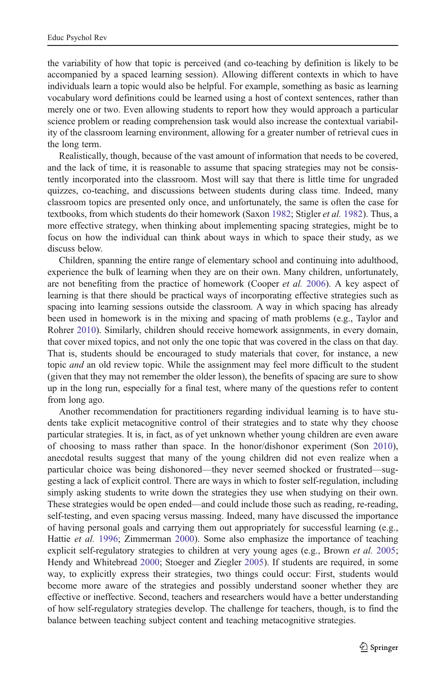the variability of how that topic is perceived (and co-teaching by definition is likely to be accompanied by a spaced learning session). Allowing different contexts in which to have individuals learn a topic would also be helpful. For example, something as basic as learning vocabulary word definitions could be learned using a host of context sentences, rather than merely one or two. Even allowing students to report how they would approach a particular science problem or reading comprehension task would also increase the contextual variability of the classroom learning environment, allowing for a greater number of retrieval cues in the long term.

Realistically, though, because of the vast amount of information that needs to be covered, and the lack of time, it is reasonable to assume that spacing strategies may not be consistently incorporated into the classroom. Most will say that there is little time for ungraded quizzes, co-teaching, and discussions between students during class time. Indeed, many classroom topics are presented only once, and unfortunately, the same is often the case for textbooks, from which students do their homework (Saxon [1982;](#page-19-0) Stigler *et al.* [1982\)](#page-20-0). Thus, a more effective strategy, when thinking about implementing spacing strategies, might be to focus on how the individual can think about ways in which to space their study, as we discuss below.

Children, spanning the entire range of elementary school and continuing into adulthood, experience the bulk of learning when they are on their own. Many children, unfortunately, are not benefiting from the practice of homework (Cooper et al. [2006\)](#page-17-0). A key aspect of learning is that there should be practical ways of incorporating effective strategies such as spacing into learning sessions outside the classroom. A way in which spacing has already been used in homework is in the mixing and spacing of math problems (e.g., Taylor and Rohrer [2010\)](#page-20-0). Similarly, children should receive homework assignments, in every domain, that cover mixed topics, and not only the one topic that was covered in the class on that day. That is, students should be encouraged to study materials that cover, for instance, a new topic *and* an old review topic. While the assignment may feel more difficult to the student (given that they may not remember the older lesson), the benefits of spacing are sure to show up in the long run, especially for a final test, where many of the questions refer to content from long ago.

Another recommendation for practitioners regarding individual learning is to have students take explicit metacognitive control of their strategies and to state why they choose particular strategies. It is, in fact, as of yet unknown whether young children are even aware of choosing to mass rather than space. In the honor/dishonor experiment (Son [2010](#page-20-0)), anecdotal results suggest that many of the young children did not even realize when a particular choice was being dishonored—they never seemed shocked or frustrated—suggesting a lack of explicit control. There are ways in which to foster self-regulation, including simply asking students to write down the strategies they use when studying on their own. These strategies would be open ended—and could include those such as reading, re-reading, self-testing, and even spacing versus massing. Indeed, many have discussed the importance of having personal goals and carrying them out appropriately for successful learning (e.g., Hattie et al. [1996](#page-18-0); Zimmerman [2000\)](#page-20-0). Some also emphasize the importance of teaching explicit self-regulatory strategies to children at very young ages (e.g., Brown *et al.* [2005](#page-16-0); Hendy and Whitebread [2000](#page-18-0); Stoeger and Ziegler [2005](#page-20-0)). If students are required, in some way, to explicitly express their strategies, two things could occur: First, students would become more aware of the strategies and possibly understand sooner whether they are effective or ineffective. Second, teachers and researchers would have a better understanding of how self-regulatory strategies develop. The challenge for teachers, though, is to find the balance between teaching subject content and teaching metacognitive strategies.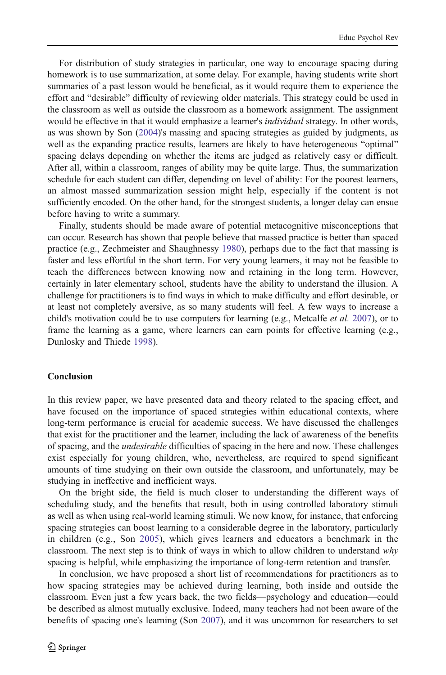For distribution of study strategies in particular, one way to encourage spacing during homework is to use summarization, at some delay. For example, having students write short summaries of a past lesson would be beneficial, as it would require them to experience the effort and "desirable" difficulty of reviewing older materials. This strategy could be used in the classroom as well as outside the classroom as a homework assignment. The assignment would be effective in that it would emphasize a learner's *individual* strategy. In other words, as was shown by Son ([2004\)](#page-20-0)'s massing and spacing strategies as guided by judgments, as well as the expanding practice results, learners are likely to have heterogeneous "optimal" spacing delays depending on whether the items are judged as relatively easy or difficult. After all, within a classroom, ranges of ability may be quite large. Thus, the summarization schedule for each student can differ, depending on level of ability: For the poorest learners, an almost massed summarization session might help, especially if the content is not sufficiently encoded. On the other hand, for the strongest students, a longer delay can ensue before having to write a summary.

Finally, students should be made aware of potential metacognitive misconceptions that can occur. Research has shown that people believe that massed practice is better than spaced practice (e.g., Zechmeister and Shaughnessy [1980\)](#page-20-0), perhaps due to the fact that massing is faster and less effortful in the short term. For very young learners, it may not be feasible to teach the differences between knowing now and retaining in the long term. However, certainly in later elementary school, students have the ability to understand the illusion. A challenge for practitioners is to find ways in which to make difficulty and effort desirable, or at least not completely aversive, as so many students will feel. A few ways to increase a child's motivation could be to use computers for learning (e.g., Metcalfe *et al.* [2007](#page-18-0)), or to frame the learning as a game, where learners can earn points for effective learning (e.g., Dunlosky and Thiede [1998](#page-17-0)).

#### Conclusion

In this review paper, we have presented data and theory related to the spacing effect, and have focused on the importance of spaced strategies within educational contexts, where long-term performance is crucial for academic success. We have discussed the challenges that exist for the practitioner and the learner, including the lack of awareness of the benefits of spacing, and the undesirable difficulties of spacing in the here and now. These challenges exist especially for young children, who, nevertheless, are required to spend significant amounts of time studying on their own outside the classroom, and unfortunately, may be studying in ineffective and inefficient ways.

On the bright side, the field is much closer to understanding the different ways of scheduling study, and the benefits that result, both in using controlled laboratory stimuli as well as when using real-world learning stimuli. We now know, for instance, that enforcing spacing strategies can boost learning to a considerable degree in the laboratory, particularly in children (e.g., Son [2005](#page-20-0)), which gives learners and educators a benchmark in the classroom. The next step is to think of ways in which to allow children to understand why spacing is helpful, while emphasizing the importance of long-term retention and transfer.

In conclusion, we have proposed a short list of recommendations for practitioners as to how spacing strategies may be achieved during learning, both inside and outside the classroom. Even just a few years back, the two fields—psychology and education—could be described as almost mutually exclusive. Indeed, many teachers had not been aware of the benefits of spacing one's learning (Son [2007](#page-20-0)), and it was uncommon for researchers to set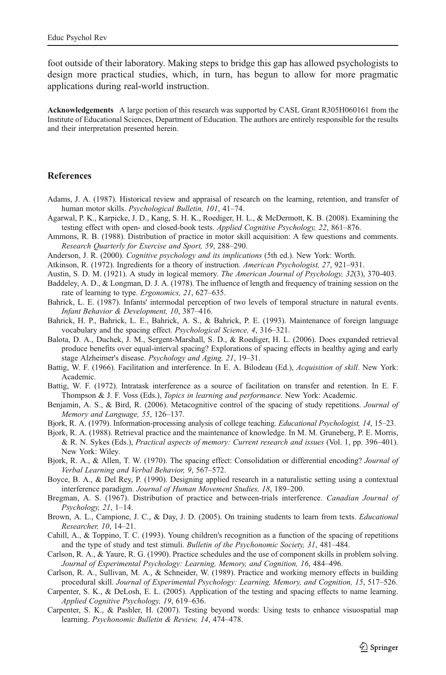<span id="page-16-0"></span>foot outside of their laboratory. Making steps to bridge this gap has allowed psychologists to design more practical studies, which, in turn, has begun to allow for more pragmatic applications during real-world instruction.

Acknowledgements A large portion of this research was supported by CASL Grant R305H060161 from the Institute of Educational Sciences, Department of Education. The authors are entirely responsible for the results and their interpretation presented herein.

## **References**

- Adams, J. A. (1987). Historical review and appraisal of research on the learning, retention, and transfer of human motor skills. Psychological Bulletin, 101, 41–74.
- Agarwal, P. K., Karpicke, J. D., Kang, S. H. K., Roediger, H. L., & McDermott, K. B. (2008). Examining the testing effect with open- and closed-book tests. Applied Cognitive Psychology, 22, 861–876.
- Ammons, R. B. (1988). Distribution of practice in motor skill acquisition: A few questions and comments. Research Quarterly for Exercise and Sport, 59, 288–290.
- Anderson, J. R. (2000). Cognitive psychology and its implications (5th ed.). New York: Worth.
- Atkinson, R. (1972). Ingredients for a theory of instruction. American Psychologist, 27, 921–931.
- Austin, S. D. M. (1921). A study in logical memory. The American Journal of Psychology, 32(3), 370-403.
- Baddeley, A. D., & Longman, D. J. A. (1978). The influence of length and frequency of training session on the rate of learning to type. Ergonomics, 21, 627-635.
- Bahrick, L. E. (1987). Infants' intermodal perception of two levels of temporal structure in natural events. Infant Behavior & Development, 10, 387–416.
- Bahrick, H. P., Bahrick, L. E., Bahrick, A. S., & Bahrick, P. E. (1993). Maintenance of foreign language vocabulary and the spacing effect. Psychological Science, 4, 316–321.
- Balota, D. A., Duchek, J. M., Sergent-Marshall, S. D., & Roediger, H. L. (2006). Does expanded retrieval produce benefits over equal-interval spacing? Explorations of spacing effects in healthy aging and early stage Alzheimer's disease. Psychology and Aging, 21, 19–31.
- Battig, W. F. (1966). Facilitation and interference. In E. A. Bilodeau (Ed.), Acquisition of skill. New York: Academic.
- Battig, W. F. (1972). Intratask interference as a source of facilitation on transfer and retention. In E. F. Thompson & J. F. Voss (Eds.), Topics in learning and performance. New York: Academic.
- Benjamin, A. S., & Bird, R. (2006). Metacognitive control of the spacing of study repetitions. Journal of Memory and Language, 55, 126–137.
- Bjork, R. A. (1979). Information-processing analysis of college teaching. Educational Psychologist, 14, 15–23.
- Bjork, R. A. (1988). Retrieval practice and the maintenance of knowledge. In M. M. Gruneberg, P. E. Morris, & R. N. Sykes (Eds.), Practical aspects of memory: Current research and issues (Vol. 1, pp. 396–401). New York: Wiley.
- Bjork, R. A., & Allen, T. W. (1970). The spacing effect: Consolidation or differential encoding? Journal of Verbal Learning and Verbal Behavior, 9, 567–572.
- Boyce, B. A., & Del Rey, P. (1990). Designing applied research in a naturalistic setting using a contextual interference paradigm. Journal of Human Movement Studies, 18, 189–200.
- Bregman, A. S. (1967). Distribution of practice and between-trials interference. Canadian Journal of Psychology, 21, 1–14.
- Brown, A. L., Campione, J. C., & Day, J. D. (2005). On training students to learn from texts. *Educational* Researcher, 10, 14–21.
- Cahill, A., & Toppino, T. C. (1993). Young children's recognition as a function of the spacing of repetitions and the type of study and test stimuli. Bulletin of the Psychonomic Society, 31, 481–484.
- Carlson, R. A., & Yaure, R. G. (1990). Practice schedules and the use of component skills in problem solving. Journal of Experimental Psychology: Learning, Memory, and Cognition, 16, 484–496.
- Carlson, R. A., Sullivan, M. A., & Schneider, W. (1989). Practice and working memory effects in building procedural skill. Journal of Experimental Psychology: Learning, Memory, and Cognition, 15, 517–526.
- Carpenter, S. K., & DeLosh, E. L. (2005). Application of the testing and spacing effects to name learning. Applied Cognitive Psychology, 19, 619–636.
- Carpenter, S. K., & Pashler, H. (2007). Testing beyond words: Using tests to enhance visuospatial map learning. Psychonomic Bulletin & Review, 14, 474–478.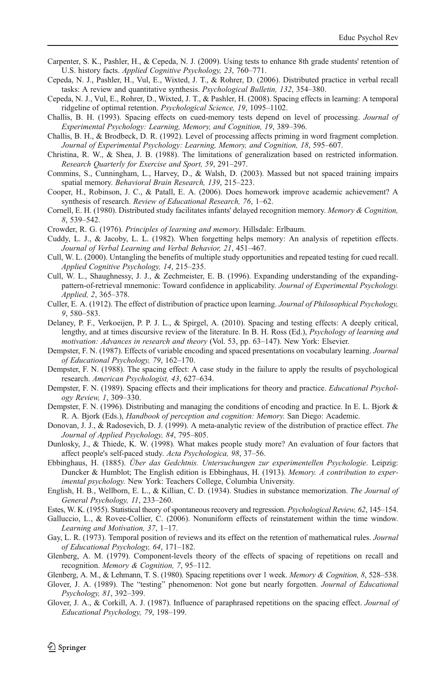- <span id="page-17-0"></span>Carpenter, S. K., Pashler, H., & Cepeda, N. J. (2009). Using tests to enhance 8th grade students' retention of U.S. history facts. Applied Cognitive Psychology, 23, 760–771.
- Cepeda, N. J., Pashler, H., Vul, E., Wixted, J. T., & Rohrer, D. (2006). Distributed practice in verbal recall tasks: A review and quantitative synthesis. Psychological Bulletin, 132, 354–380.
- Cepeda, N. J., Vul, E., Rohrer, D., Wixted, J. T., & Pashler, H. (2008). Spacing effects in learning: A temporal ridgeline of optimal retention. Psychological Science, 19, 1095–1102.
- Challis, B. H. (1993). Spacing effects on cued-memory tests depend on level of processing. Journal of Experimental Psychology: Learning, Memory, and Cognition, 19, 389–396.
- Challis, B. H., & Brodbeck, D. R. (1992). Level of processing affects priming in word fragment completion. Journal of Experimental Psychology: Learning, Memory, and Cognition, 18, 595–607.
- Christina, R. W., & Shea, J. B. (1988). The limitations of generalization based on restricted information. Research Quarterly for Exercise and Sport, 59, 291–297.
- Commins, S., Cunningham, L., Harvey, D., & Walsh, D. (2003). Massed but not spaced training impairs spatial memory. Behavioral Brain Research, 139, 215–223.
- Cooper, H., Robinson, J. C., & Patall, E. A. (2006). Does homework improve academic achievement? A synthesis of research. Review of Educational Research, 76, 1-62.
- Cornell, E. H. (1980). Distributed study facilitates infants' delayed recognition memory. Memory & Cognition, 8, 539–542.
- Crowder, R. G. (1976). Principles of learning and memory. Hillsdale: Erlbaum.
- Cuddy, L. J., & Jacoby, L. L. (1982). When forgetting helps memory: An analysis of repetition effects. Journal of Verbal Learning and Verbal Behavior, 21, 451–467.
- Cull, W. L. (2000). Untangling the benefits of multiple study opportunities and repeated testing for cued recall. Applied Cognitive Psychology, 14, 215–235.
- Cull, W. L., Shaughnessy, J. J., & Zechmeister, E. B. (1996). Expanding understanding of the expandingpattern-of-retrieval mnemonic: Toward confidence in applicability. Journal of Experimental Psychology. Applied, 2, 365–378.
- Culler, E. A. (1912). The effect of distribution of practice upon learning. Journal of Philosophical Psychology, 9, 580–583.
- Delaney, P. F., Verkoeijen, P. P. J. L., & Spirgel, A. (2010). Spacing and testing effects: A deeply critical, lengthy, and at times discursive review of the literature. In B. H. Ross (Ed.), Psychology of learning and motivation: Advances in research and theory (Vol. 53, pp. 63–147). New York: Elsevier.
- Dempster, F. N. (1987). Effects of variable encoding and spaced presentations on vocabulary learning. Journal of Educational Psychology, 79, 162–170.
- Dempster, F. N. (1988). The spacing effect: A case study in the failure to apply the results of psychological research. American Psychologist, 43, 627–634.
- Dempster, F. N. (1989). Spacing effects and their implications for theory and practice. Educational Psychology Review, 1, 309–330.
- Dempster, F. N. (1996). Distributing and managing the conditions of encoding and practice. In E. L. Bjork & R. A. Bjork (Eds.), Handbook of perception and cognition: Memory. San Diego: Academic.
- Donovan, J. J., & Radosevich, D. J. (1999). A meta-analytic review of the distribution of practice effect. The Journal of Applied Psychology, 84, 795–805.
- Dunlosky, J., & Thiede, K. W. (1998). What makes people study more? An evaluation of four factors that affect people's self-paced study. Acta Psychologica, 98, 37–56.
- Ebbinghaus, H. (1885). Über das Gedchtnis. Untersuchungen zur experimentellen Psychologie. Leipzig: Duncker & Humblot; The English edition is Ebbinghaus, H. (1913). Memory. A contribution to experimental psychology. New York: Teachers College, Columbia University.
- English, H. B., Wellborn, E. L., & Killian, C. D. (1934). Studies in substance memorization. The Journal of General Psychology, 11, 233–260.
- Estes, W. K. (1955). Statistical theory of spontaneous recovery and regression. Psychological Review, 62, 145–154.
- Galluccio, L., & Rovee-Collier, C. (2006). Nonuniform effects of reinstatement within the time window. Learning and Motivation, 37, 1–17.
- Gay, L. R. (1973). Temporal position of reviews and its effect on the retention of mathematical rules. *Journal* of Educational Psychology, 64, 171–182.
- Glenberg, A. M. (1979). Component-levels theory of the effects of spacing of repetitions on recall and recognition. Memory & Cognition, 7, 95–112.
- Glenberg, A. M., & Lehmann, T. S. (1980). Spacing repetitions over 1 week. Memory & Cognition, 8, 528–538.
- Glover, J. A. (1989). The "testing" phenomenon: Not gone but nearly forgotten. *Journal of Educational* Psychology, 81, 392–399.
- Glover, J. A., & Corkill, A. J. (1987). Influence of paraphrased repetitions on the spacing effect. *Journal of* Educational Psychology, 79, 198–199.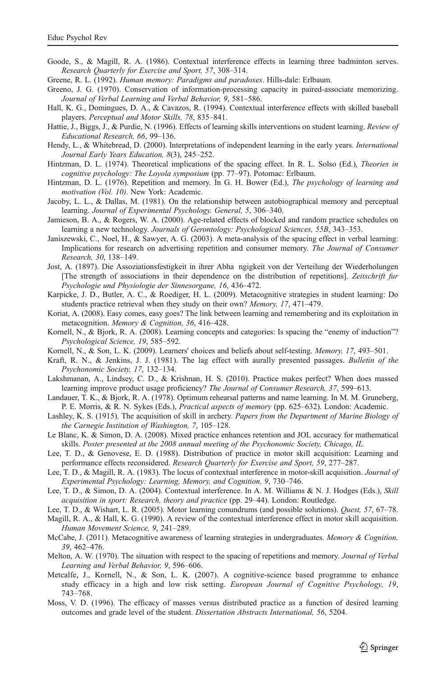- <span id="page-18-0"></span>Goode, S., & Magill, R. A. (1986). Contextual interference effects in learning three badminton serves. Research Quarterly for Exercise and Sport, 57, 308–314.
- Greene, R. L. (1992). Human memory: Paradigms and paradoxes. Hills-dale: Erlbaum.
- Greeno, J. G. (1970). Conservation of information-processing capacity in paired-associate memorizing. Journal of Verbal Learning and Verbal Behavior, 9, 581–586.
- Hall, K. G., Domingues, D. A., & Cavazos, R. (1994). Contextual interference effects with skilled baseball players. Perceptual and Motor Skills, 78, 835–841.
- Hattie, J., Biggs, J., & Purdie, N. (1996). Effects of learning skills interventions on student learning. Review of Educational Research, 66, 99–136.
- Hendy, L., & Whitebread, D. (2000). Interpretations of independent learning in the early years. International Journal Early Years Education, 8(3), 245–252.
- Hintzman, D. L. (1974). Theoretical implications of the spacing effect. In R. L. Solso (Ed.), Theories in cognitive psychology: The Loyola symposium (pp. 77–97). Potomac: Erlbaum.
- Hintzman, D. L. (1976). Repetition and memory. In G. H. Bower (Ed.), The psychology of learning and motivation (Vol. 10). New York: Academic.
- Jacoby, L. L., & Dallas, M. (1981). On the relationship between autobiographical memory and perceptual learning. Journal of Experimental Psychology. General, 5, 306–340.
- Jamieson, B. A., & Rogers, W. A. (2000). Age-related effects of blocked and random practice schedules on learning a new technology. Journals of Gerontology: Psychological Sciences, 55B, 343–353.
- Janiszewski, C., Noel, H., & Sawyer, A. G. (2003). A meta-analysis of the spacing effect in verbal learning: Implications for research on advertising repetition and consumer memory. The Journal of Consumer Research, 30, 138–149.
- Jost, A. (1897). Die Assoziationsfestigkeit in ihrer Abha ngigkeit von der Verteilung der Wiederholungen [The strength of associations in their dependence on the distribution of repetitions]. Zeitschrift fur Psychologie und Physiologie der Sinnesorgane, 16, 436–472.
- Karpicke, J. D., Butler, A. C., & Roediger, H. L. (2009). Metacognitive strategies in student learning: Do students practice retrieval when they study on their own? Memory, 17, 471–479.
- Koriat, A. (2008). Easy comes, easy goes? The link between learning and remembering and its exploitation in metacognition. Memory & Cognition, 36, 416–428.
- Kornell, N., & Bjork, R. A. (2008). Learning concepts and categories: Is spacing the "enemy of induction"? Psychological Science, 19, 585–592.
- Kornell, N., & Son, L. K. (2009). Learners' choices and beliefs about self-testing. Memory, 17, 493–501.
- Kraft, R. N., & Jenkins, J. J. (1981). The lag effect with aurally presented passages. Bulletin of the Psychonomic Society, 17, 132–134.
- Lakshmanan, A., Lindsey, C. D., & Krishnan, H. S. (2010). Practice makes perfect? When does massed learning improve product usage proficiency? The Journal of Consumer Research, 37, 599–613.
- Landauer, T. K., & Bjork, R. A. (1978). Optimum rehearsal patterns and name learning. In M. M. Gruneberg, P. E. Morris, & R. N. Sykes (Eds.), Practical aspects of memory (pp. 625–632). London: Academic.
- Lashley, K. S. (1915). The acquisition of skill in archery. Papers from the Department of Marine Biology of the Carnegie Institution of Washington, 7, 105–128.
- Le Blanc, K. & Simon, D. A. (2008). Mixed practice enhances retention and JOL accuracy for mathematical skills. Poster presented at the 2008 annual meeting of the Psychonomic Society, Chicago, IL.
- Lee, T. D., & Genovese, E. D. (1988). Distribution of practice in motor skill acquisition: Learning and performance effects reconsidered. Research Quarterly for Exercise and Sport, 59, 277–287.
- Lee, T. D., & Magill, R. A. (1983). The locus of contextual interference in motor-skill acquisition. Journal of Experimental Psychology: Learning, Memory, and Cognition, 9, 730–746.
- Lee, T. D., & Simon, D. A. (2004). Contextual interference. In A. M. Williams & N. J. Hodges (Eds.), Skill acquisition in sport: Research, theory and practice (pp. 29–44). London: Routledge.
- Lee, T. D., & Wishart, L. R. (2005). Motor learning conundrums (and possible solutions). *Quest, 57*, 67–78.
- Magill, R. A., & Hall, K. G. (1990). A review of the contextual interference effect in motor skill acquisition. Human Movement Science, 9, 241–289.
- McCabe, J. (2011). Metacognitive awareness of learning strategies in undergraduates. Memory & Cognition, 39, 462–476.
- Melton, A. W. (1970). The situation with respect to the spacing of repetitions and memory. Journal of Verbal Learning and Verbal Behavior, 9, 596–606.
- Metcalfe, J., Kornell, N., & Son, L. K. (2007). A cognitive-science based programme to enhance study efficacy in a high and low risk setting. European Journal of Cognitive Psychology, 19, 743–768.
- Moss, V. D. (1996). The efficacy of masses versus distributed practice as a function of desired learning outcomes and grade level of the student. Dissertation Abstracts International, 56, 5204.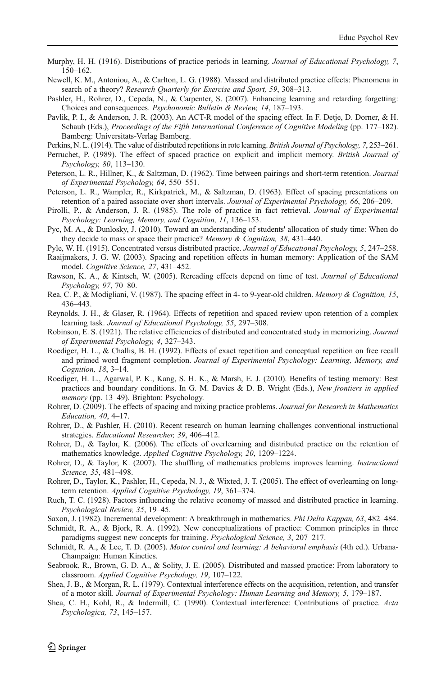- <span id="page-19-0"></span>Murphy, H. H. (1916). Distributions of practice periods in learning. Journal of Educational Psychology, 7, 150–162.
- Newell, K. M., Antoniou, A., & Carlton, L. G. (1988). Massed and distributed practice effects: Phenomena in search of a theory? Research Quarterly for Exercise and Sport, 59, 308–313.
- Pashler, H., Rohrer, D., Cepeda, N., & Carpenter, S. (2007). Enhancing learning and retarding forgetting: Choices and consequences. Psychonomic Bulletin & Review, 14, 187–193.
- Pavlik, P. I., & Anderson, J. R. (2003). An ACT-R model of the spacing effect. In F. Detje, D. Dorner, & H. Schaub (Eds.), Proceedings of the Fifth International Conference of Cognitive Modeling (pp. 177–182). Bamberg: Universitats-Verlag Bamberg.
- Perkins, N. L. (1914). The value of distributed repetitions in rote learning. British Journal of Psychology, 7, 253-261.
- Perruchet, P. (1989). The effect of spaced practice on explicit and implicit memory. British Journal of Psychology, 80, 113–130.
- Peterson, L. R., Hillner, K., & Saltzman, D. (1962). Time between pairings and short-term retention. Journal of Experimental Psychology, 64, 550–551.
- Peterson, L. R., Wampler, R., Kirkpatrick, M., & Saltzman, D. (1963). Effect of spacing presentations on retention of a paired associate over short intervals. Journal of Experimental Psychology, 66, 206–209.
- Pirolli, P., & Anderson, J. R. (1985). The role of practice in fact retrieval. Journal of Experimental Psychology: Learning, Memory, and Cognition, 11, 136–153.
- Pyc, M. A., & Dunlosky, J. (2010). Toward an understanding of students' allocation of study time: When do they decide to mass or space their practice? Memory & Cognition, 38, 431-440.
- Pyle, W. H. (1915). Concentrated versus distributed practice. Journal of Educational Psychology, 5, 247–258.
- Raaijmakers, J. G. W. (2003). Spacing and repetition effects in human memory: Application of the SAM model. Cognitive Science, 27, 431–452.
- Rawson, K. A., & Kintsch, W. (2005). Rereading effects depend on time of test. Journal of Educational Psychology, 97, 70–80.
- Rea, C. P., & Modigliani, V. (1987). The spacing effect in 4- to 9-year-old children. Memory & Cognition, 15, 436–443.
- Reynolds, J. H., & Glaser, R. (1964). Effects of repetition and spaced review upon retention of a complex learning task. Journal of Educational Psychology, 55, 297–308.
- Robinson, E. S. (1921). The relative efficiencies of distributed and concentrated study in memorizing. Journal of Experimental Psychology, 4, 327–343.
- Roediger, H. L., & Challis, B. H. (1992). Effects of exact repetition and conceptual repetition on free recall and primed word fragment completion. Journal of Experimental Psychology: Learning, Memory, and Cognition, 18, 3–14.
- Roediger, H. L., Agarwal, P. K., Kang, S. H. K., & Marsh, E. J. (2010). Benefits of testing memory: Best practices and boundary conditions. In G. M. Davies & D. B. Wright (Eds.), New frontiers in applied memory (pp. 13–49). Brighton: Psychology.
- Rohrer, D. (2009). The effects of spacing and mixing practice problems. Journal for Research in Mathematics Education, 40, 4–17.
- Rohrer, D., & Pashler, H. (2010). Recent research on human learning challenges conventional instructional strategies. Educational Researcher, 39, 406–412.
- Rohrer, D., & Taylor, K. (2006). The effects of overlearning and distributed practice on the retention of mathematics knowledge. Applied Cognitive Psychology, 20, 1209–1224.
- Rohrer, D., & Taylor, K. (2007). The shuffling of mathematics problems improves learning. *Instructional* Science, 35, 481–498.
- Rohrer, D., Taylor, K., Pashler, H., Cepeda, N. J., & Wixted, J. T. (2005). The effect of overlearning on longterm retention. Applied Cognitive Psychology, 19, 361–374.
- Ruch, T. C. (1928). Factors influencing the relative economy of massed and distributed practice in learning. Psychological Review, 35, 19–45.
- Saxon, J. (1982). Incremental development: A breakthrough in mathematics. Phi Delta Kappan, 63, 482–484.
- Schmidt, R. A., & Bjork, R. A. (1992). New conceptualizations of practice: Common principles in three paradigms suggest new concepts for training. Psychological Science, 3, 207–217.
- Schmidt, R. A., & Lee, T. D. (2005). Motor control and learning: A behavioral emphasis (4th ed.). Urbana-Champaign: Human Kinetics.
- Seabrook, R., Brown, G. D. A., & Solity, J. E. (2005). Distributed and massed practice: From laboratory to classroom. Applied Cognitive Psychology, 19, 107–122.
- Shea, J. B., & Morgan, R. L. (1979). Contextual interference effects on the acquisition, retention, and transfer of a motor skill. Journal of Experimental Psychology: Human Learning and Memory, 5, 179–187.
- Shea, C. H., Kohl, R., & Indermill, C. (1990). Contextual interference: Contributions of practice. Acta Psychologica, 73, 145–157.